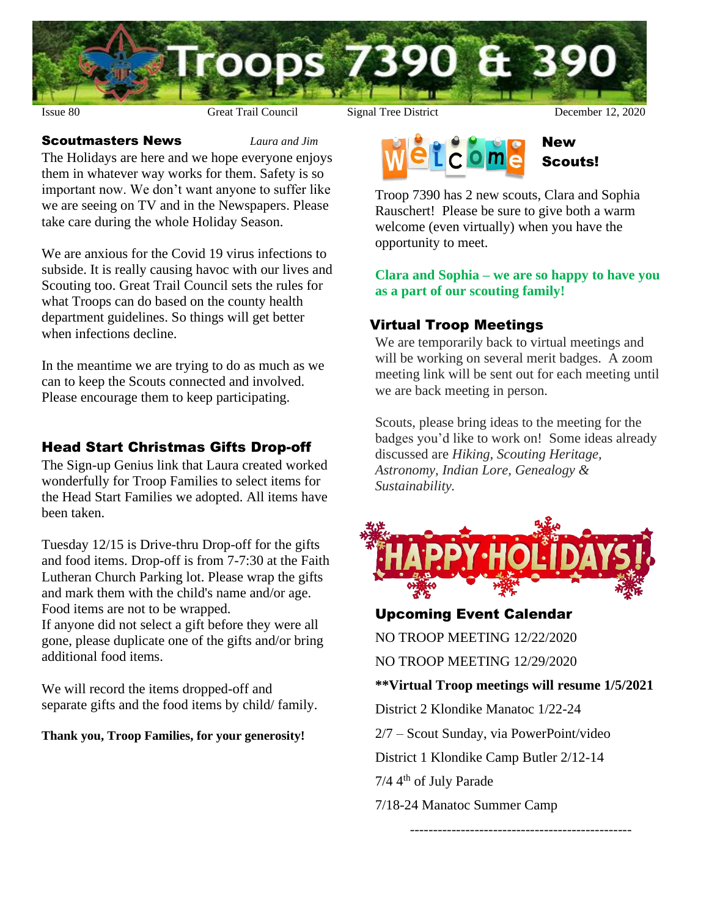

#### Scoutmasters News *Laura and Jim*

The Holidays are here and we hope everyone enjoys them in whatever way works for them. Safety is so important now. We don't want anyone to suffer like we are seeing on TV and in the Newspapers. Please take care during the whole Holiday Season.

We are anxious for the Covid 19 virus infections to subside. It is really causing havoc with our lives and Scouting too. Great Trail Council sets the rules for what Troops can do based on the county health department guidelines. So things will get better when infections decline.

In the meantime we are trying to do as much as we can to keep the Scouts connected and involved. Please encourage them to keep participating.

### Head Start Christmas Gifts Drop-off

The Sign-up Genius link that Laura created worked wonderfully for Troop Families to select items for the Head Start Families we adopted. All items have been taken.

Tuesday 12/15 is Drive-thru Drop-off for the gifts and food items. Drop-off is from 7-7:30 at the Faith Lutheran Church Parking lot. Please wrap the gifts and mark them with the child's name and/or age. Food items are not to be wrapped. If anyone did not select a gift before they were all gone, please duplicate one of the gifts and/or bring additional food items.

We will record the items dropped-off and separate gifts and the food items by child/ family.

#### **Thank you, Troop Families, for your generosity!**



Troop 7390 has 2 new scouts, Clara and Sophia Rauschert! Please be sure to give both a warm welcome (even virtually) when you have the opportunity to meet.

#### **Clara and Sophia – we are so happy to have you as a part of our scouting family!**

### Virtual Troop Meetings

We are temporarily back to virtual meetings and will be working on several merit badges. A zoom meeting link will be sent out for each meeting until we are back meeting in person.

Scouts, please bring ideas to the meeting for the badges you'd like to work on! Some ideas already discussed are *Hiking, Scouting Heritage, Astronomy, Indian Lore, Genealogy & Sustainability.*



### Upcoming Event Calendar

NO TROOP MEETING 12/22/2020

NO TROOP MEETING 12/29/2020

#### **\*\*Virtual Troop meetings will resume 1/5/2021**

------------------------------------------------

District 2 Klondike Manatoc 1/22-24

2/7 – Scout Sunday, via PowerPoint/video

District 1 Klondike Camp Butler 2/12-14

 $7/4$  4<sup>th</sup> of July Parade

7/18-24 Manatoc Summer Camp